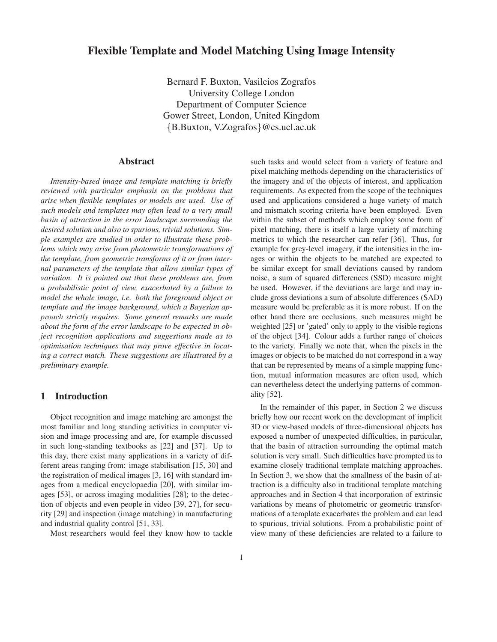# **Flexible Template and Model Matching Using Image Intensity**

Bernard F. Buxton, Vasileios Zografos University College London Department of Computer Science Gower Street, London, United Kingdom {B.Buxton, V.Zografos}@cs.ucl.ac.uk

## **Abstract**

*Intensity-based image and template matching is briefly reviewed with particular emphasis on the problems that arise when flexible templates or models are used. Use of such models and templates may often lead to a very small basin of attraction in the error landscape surrounding the desired solution and also to spurious, trivial solutions. Simple examples are studied in order to illustrate these problems which may arise from photometric transformations of the template, from geometric transforms of it or from internal parameters of the template that allow similar types of variation. It is pointed out that these problems are, from a probabilistic point of view, exacerbated by a failure to model the whole image, i.e. both the foreground object or template and the image background, which a Bayesian approach strictly requires. Some general remarks are made about the form of the error landscape to be expected in object recognition applications and suggestions made as to optimisation techniques that may prove effective in locating a correct match. These suggestions are illustrated by a preliminary example.*

## **1 Introduction**

Object recognition and image matching are amongst the most familiar and long standing activities in computer vision and image processing and are, for example discussed in such long-standing textbooks as [22] and [37]. Up to this day, there exist many applications in a variety of different areas ranging from: image stabilisation [15, 30] and the registration of medical images [3, 16] with standard images from a medical encyclopaedia [20], with similar images [53], or across imaging modalities [28]; to the detection of objects and even people in video [39, 27], for security [29] and inspection (image matching) in manufacturing and industrial quality control [51, 33].

Most researchers would feel they know how to tackle

such tasks and would select from a variety of feature and pixel matching methods depending on the characteristics of the imagery and of the objects of interest, and application requirements. As expected from the scope of the techniques used and applications considered a huge variety of match and mismatch scoring criteria have been employed. Even within the subset of methods which employ some form of pixel matching, there is itself a large variety of matching metrics to which the researcher can refer [36]. Thus, for example for grey-level imagery, if the intensities in the images or within the objects to be matched are expected to be similar except for small deviations caused by random noise, a sum of squared differences (SSD) measure might be used. However, if the deviations are large and may include gross deviations a sum of absolute differences (SAD) measure would be preferable as it is more robust. If on the other hand there are occlusions, such measures might be weighted [25] or 'gated' only to apply to the visible regions of the object [34]. Colour adds a further range of choices to the variety. Finally we note that, when the pixels in the images or objects to be matched do not correspond in a way that can be represented by means of a simple mapping function, mutual information measures are often used, which can nevertheless detect the underlying patterns of commonality [52].

In the remainder of this paper, in Section 2 we discuss briefly how our recent work on the development of implicit 3D or view-based models of three-dimensional objects has exposed a number of unexpected difficulties, in particular, that the basin of attraction surrounding the optimal match solution is very small. Such difficulties have prompted us to examine closely traditional template matching approaches. In Section 3, we show that the smallness of the basin of attraction is a difficulty also in traditional template matching approaches and in Section 4 that incorporation of extrinsic variations by means of photometric or geometric transformations of a template exacerbates the problem and can lead to spurious, trivial solutions. From a probabilistic point of view many of these deficiencies are related to a failure to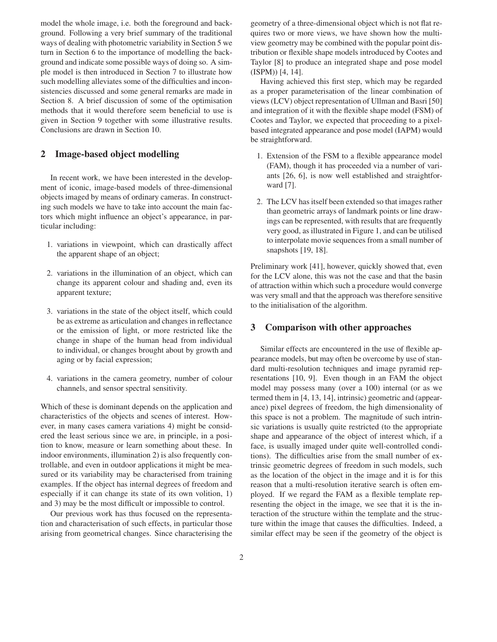model the whole image, i.e. both the foreground and background. Following a very brief summary of the traditional ways of dealing with photometric variability in Section 5 we turn in Section 6 to the importance of modelling the background and indicate some possible ways of doing so. A simple model is then introduced in Section 7 to illustrate how such modelling alleviates some of the difficulties and inconsistencies discussed and some general remarks are made in Section 8. A brief discussion of some of the optimisation methods that it would therefore seem beneficial to use is given in Section 9 together with some illustrative results. Conclusions are drawn in Section 10.

### **2 Image-based object modelling**

In recent work, we have been interested in the development of iconic, image-based models of three-dimensional objects imaged by means of ordinary cameras. In constructing such models we have to take into account the main factors which might influence an object's appearance, in particular including:

- 1. variations in viewpoint, which can drastically affect the apparent shape of an object;
- 2. variations in the illumination of an object, which can change its apparent colour and shading and, even its apparent texture;
- 3. variations in the state of the object itself, which could be as extreme as articulation and changes in reflectance or the emission of light, or more restricted like the change in shape of the human head from individual to individual, or changes brought about by growth and aging or by facial expression;
- 4. variations in the camera geometry, number of colour channels, and sensor spectral sensitivity.

Which of these is dominant depends on the application and characteristics of the objects and scenes of interest. However, in many cases camera variations 4) might be considered the least serious since we are, in principle, in a position to know, measure or learn something about these. In indoor environments, illumination 2) is also frequently controllable, and even in outdoor applications it might be measured or its variability may be characterised from training examples. If the object has internal degrees of freedom and especially if it can change its state of its own volition, 1) and 3) may be the most difficult or impossible to control.

Our previous work has thus focused on the representation and characterisation of such effects, in particular those arising from geometrical changes. Since characterising the geometry of a three-dimensional object which is not flat requires two or more views, we have shown how the multiview geometry may be combined with the popular point distribution or flexible shape models introduced by Cootes and Taylor [8] to produce an integrated shape and pose model (ISPM)) [4, 14].

Having achieved this first step, which may be regarded as a proper parameterisation of the linear combination of views (LCV) object representation of Ullman and Basri [50] and integration of it with the flexible shape model (FSM) of Cootes and Taylor, we expected that proceeding to a pixelbased integrated appearance and pose model (IAPM) would be straightforward.

- 1. Extension of the FSM to a flexible appearance model (FAM), though it has proceeded via a number of variants [26, 6], is now well established and straightforward [7].
- 2. The LCV has itself been extended so that images rather than geometric arrays of landmark points or line drawings can be represented, with results that are frequently very good, as illustrated in Figure 1, and can be utilised to interpolate movie sequences from a small number of snapshots [19, 18].

Preliminary work [41], however, quickly showed that, even for the LCV alone, this was not the case and that the basin of attraction within which such a procedure would converge was very small and that the approach was therefore sensitive to the initialisation of the algorithm.

#### **3 Comparison with other approaches**

Similar effects are encountered in the use of flexible appearance models, but may often be overcome by use of standard multi-resolution techniques and image pyramid representations [10, 9]. Even though in an FAM the object model may possess many (over a 100) internal (or as we termed them in [4, 13, 14], intrinsic) geometric and (appearance) pixel degrees of freedom, the high dimensionality of this space is not a problem. The magnitude of such intrinsic variations is usually quite restricted (to the appropriate shape and appearance of the object of interest which, if a face, is usually imaged under quite well-controlled conditions). The difficulties arise from the small number of extrinsic geometric degrees of freedom in such models, such as the location of the object in the image and it is for this reason that a multi-resolution iterative search is often employed. If we regard the FAM as a flexible template representing the object in the image, we see that it is the interaction of the structure within the template and the structure within the image that causes the difficulties. Indeed, a similar effect may be seen if the geometry of the object is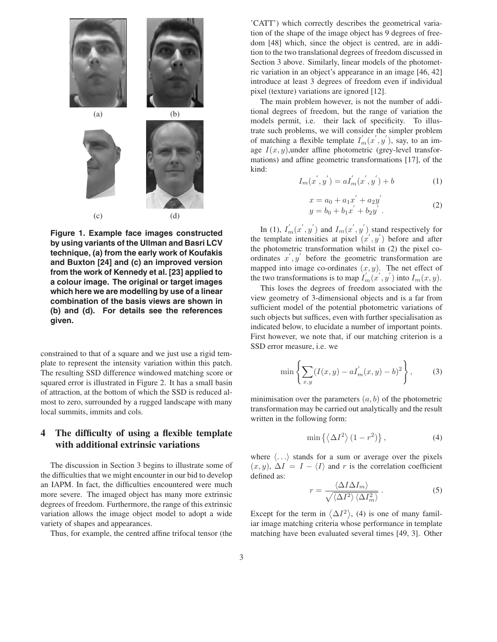

**Figure 1. Example face images constructed by using variants of the Ullman and Basri LCV technique, (a) from the early work of Koufakis and Buxton [24] and (c) an improved version from the work of Kennedy et al. [23] applied to a colour image. The original or target images which here we are modelling by use of a linear combination of the basis views are shown in (b) and (d). For details see the references given.**

constrained to that of a square and we just use a rigid template to represent the intensity variation within this patch. The resulting SSD difference windowed matching score or squared error is illustrated in Figure 2. It has a small basin of attraction, at the bottom of which the SSD is reduced almost to zero, surrounded by a rugged landscape with many local summits, immits and cols.

## **4 The difficulty of using a flexible template with additional extrinsic variations**

The discussion in Section 3 begins to illustrate some of the difficulties that we might encounter in our bid to develop an IAPM. In fact, the difficulties encountered were much more severe. The imaged object has many more extrinsic degrees of freedom. Furthermore, the range of this extrinsic variation allows the image object model to adopt a wide variety of shapes and appearances.

Thus, for example, the centred affine trifocal tensor (the

'CATT') which correctly describes the geometrical variation of the shape of the image object has 9 degrees of freedom [48] which, since the object is centred, are in addition to the two translational degrees of freedom discussed in Section 3 above. Similarly, linear models of the photometric variation in an object's appearance in an image [46, 42] introduce at least 3 degrees of freedom even if individual pixel (texture) variations are ignored [12].

The main problem however, is not the number of additional degrees of freedom, but the range of variation the models permit, i.e. their lack of specificity. To illustrate such problems, we will consider the simpler problem of matching a flexible template  $I'_m(x', y')$ , say, to an image  $I(x, y)$ , under affine photometric (grey-level transformations) and affine geometric transformations [17], of the kind:

$$
I_m(x', y') = aI'_m(x', y') + b \tag{1}
$$

$$
x = a_0 + a_1 x^{'} + a_2 y^{'} \n y = b_0 + b_1 x^{'} + b_2 y^{'}.
$$
\n(2)

In (1),  $I'_m(x', y')$  and  $I_m(x', y')$  stand respectively for the template intensities at pixel  $(x', y')$  before and after the photometric transformation whilst in (2) the pixel coordinates  $x', y'$  before the geometric transformation are mapped into image co-ordinates  $(x, y)$ . The net effect of the two transformations is to map  $I'_m(x', y')$  into  $I_m(x, y)$ .

This loses the degrees of freedom associated with the view geometry of 3-dimensional objects and is a far from sufficient model of the potential photometric variations of such objects but suffices, even with further specialisation as indicated below, to elucidate a number of important points. First however, we note that, if our matching criterion is a SSD error measure, i.e. we

$$
\min\left\{\sum_{x,y}(I(x,y) - aI'_m(x,y) - b)^2\right\},\qquad(3)
$$

minimisation over the parameters  $(a, b)$  of the photometric transformation may be carried out analytically and the result written in the following form:

$$
\min\left\{ \left\langle \Delta I^2 \right\rangle (1 - r^2) \right\},\tag{4}
$$

where  $\langle \ldots \rangle$  stands for a sum or average over the pixels  $(x, y)$ ,  $\Delta I = I - \langle I \rangle$  and *r* is the correlation coefficient defined as:

$$
r = \frac{\langle \Delta I \Delta I_m \rangle}{\sqrt{\langle \Delta I^2 \rangle \langle \Delta I_m^2 \rangle}}.
$$
\n(5)

Except for the term in  $\langle \Delta I^2 \rangle$ , (4) is one of many familiar image matching criteria whose performance in template matching have been evaluated several times [49, 3]. Other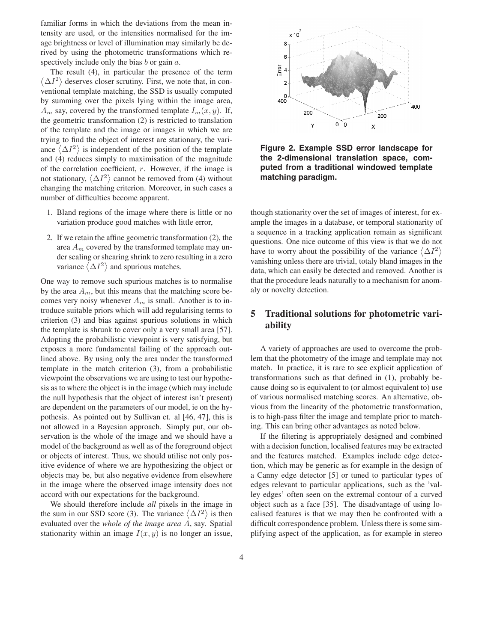familiar forms in which the deviations from the mean intensity are used, or the intensities normalised for the image brightness or level of illumination may similarly be derived by using the photometric transformations which respectively include only the bias *b* or gain *a*.

The result (4), in particular the presence of the term  $\langle \Delta I^2 \rangle$  deserves closer scrutiny. First, we note that, in conventional template matching, the SSD is usually computed by summing over the pixels lying within the image area,  $A_m$  say, covered by the transformed template  $I_m(x, y)$ . If, the geometric transformation (2) is restricted to translation of the template and the image or images in which we are trying to find the object of interest are stationary, the variance  $\langle \Delta I^2 \rangle$  is independent of the position of the template and (4) reduces simply to maximisation of the magnitude of the correlation coefficient, *r*. However, if the image is not stationary,  $\langle \Delta I^2 \rangle$  cannot be removed from (4) without changing the matching criterion. Moreover, in such cases a number of difficulties become apparent.

- 1. Bland regions of the image where there is little or no variation produce good matches with little error,
- 2. If we retain the affine geometric transformation (2), the area  $A_m$  covered by the transformed template may under scaling or shearing shrink to zero resulting in a zero variance  $\langle \Delta I^2 \rangle$  and spurious matches.

One way to remove such spurious matches is to normalise by the area  $A_m$ , but this means that the matching score becomes very noisy whenever  $A_m$  is small. Another is to introduce suitable priors which will add regularising terms to criterion (3) and bias against spurious solutions in which the template is shrunk to cover only a very small area [57]. Adopting the probabilistic viewpoint is very satisfying, but exposes a more fundamental failing of the approach outlined above. By using only the area under the transformed template in the match criterion (3), from a probabilistic viewpoint the observations we are using to test our hypothesis as to where the object is in the image (which may include the null hypothesis that the object of interest isn't present) are dependent on the parameters of our model, ie on the hypothesis. As pointed out by Sullivan et. al [46, 47], this is not allowed in a Bayesian approach. Simply put, our observation is the whole of the image and we should have a model of the background as well as of the foreground object or objects of interest. Thus, we should utilise not only positive evidence of where we are hypothesizing the object or objects may be, but also negative evidence from elsewhere in the image where the observed image intensity does not accord with our expectations for the background.

We should therefore include *all* pixels in the image in the sum in our SSD score (3). The variance  $\langle \Delta I^2 \rangle$  is then evaluated over the *whole of the image area A*, say. Spatial stationarity within an image  $I(x, y)$  is no longer an issue,



**Figure 2. Example SSD error landscape for the 2-dimensional translation space, computed from a traditional windowed template matching paradigm.**

though stationarity over the set of images of interest, for example the images in a database, or temporal stationarity of a sequence in a tracking application remain as significant questions. One nice outcome of this view is that we do not have to worry about the possibility of the variance  $\langle \Delta I^2 \rangle$ vanishing unless there are trivial, totaly bland images in the data, which can easily be detected and removed. Another is that the procedure leads naturally to a mechanism for anomaly or novelty detection.

## **5 Traditional solutions for photometric variability**

A variety of approaches are used to overcome the problem that the photometry of the image and template may not match. In practice, it is rare to see explicit application of transformations such as that defined in (1), probably because doing so is equivalent to (or almost equivalent to) use of various normalised matching scores. An alternative, obvious from the linearity of the photometric transformation, is to high-pass filter the image and template prior to matching. This can bring other advantages as noted below.

If the filtering is appropriately designed and combined with a decision function, localised features may be extracted and the features matched. Examples include edge detection, which may be generic as for example in the design of a Canny edge detector [5] or tuned to particular types of edges relevant to particular applications, such as the 'valley edges' often seen on the extremal contour of a curved object such as a face [35]. The disadvantage of using localised features is that we may then be confronted with a difficult correspondence problem. Unless there is some simplifying aspect of the application, as for example in stereo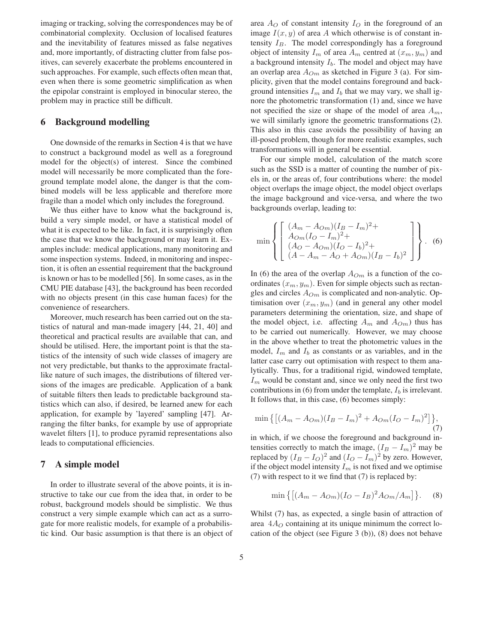imaging or tracking, solving the correspondences may be of combinatorial complexity. Occlusion of localised features and the inevitability of features missed as false negatives and, more importantly, of distracting clutter from false positives, can severely exacerbate the problems encountered in such approaches. For example, such effects often mean that, even when there is some geometric simplification as when the epipolar constraint is employed in binocular stereo, the problem may in practice still be difficult.

### **6 Background modelling**

One downside of the remarks in Section 4 is that we have to construct a background model as well as a foreground model for the object(s) of interest. Since the combined model will necessarily be more complicated than the foreground template model alone, the danger is that the combined models will be less applicable and therefore more fragile than a model which only includes the foreground.

We thus either have to know what the background is, build a very simple model, or have a statistical model of what it is expected to be like. In fact, it is surprisingly often the case that we know the background or may learn it. Examples include: medical applications, many monitoring and some inspection systems. Indeed, in monitoring and inspection, it is often an essential requirement that the background is known or has to be modelled [56]. In some cases, as in the CMU PIE database [43], the background has been recorded with no objects present (in this case human faces) for the convenience of researchers.

Moreover, much research has been carried out on the statistics of natural and man-made imagery [44, 21, 40] and theoretical and practical results are available that can, and should be utilised. Here, the important point is that the statistics of the intensity of such wide classes of imagery are not very predictable, but thanks to the approximate fractallike nature of such images, the distributions of filtered versions of the images are predicable. Application of a bank of suitable filters then leads to predictable background statistics which can also, if desired, be learned anew for each application, for example by 'layered' sampling [47]. Arranging the filter banks, for example by use of appropriate wavelet filters [1], to produce pyramid representations also leads to computational efficiencies.

#### **7 A simple model**

In order to illustrate several of the above points, it is instructive to take our cue from the idea that, in order to be robust, background models should be simplistic. We thus construct a very simple example which can act as a surrogate for more realistic models, for example of a probabilistic kind. Our basic assumption is that there is an object of area  $A_O$  of constant intensity  $I_O$  in the foreground of an image  $I(x, y)$  of area A which otherwise is of constant intensity  $I_B$ . The model correspondingly has a foreground object of intensity  $I_m$  of area  $A_m$  centred at  $(x_m, y_m)$  and a background intensity *Ib*. The model and object may have an overlap area *AOm* as sketched in Figure 3 (a). For simplicity, given that the model contains foreground and background intensities  $I_m$  and  $I_b$  that we may vary, we shall ignore the photometric transformation (1) and, since we have not specified the size or shape of the model of area *Am*, we will similarly ignore the geometric transformations (2). This also in this case avoids the possibility of having an ill-posed problem, though for more realistic examples, such transformations will in general be essential.

For our simple model, calculation of the match score such as the SSD is a matter of counting the number of pixels in, or the areas of, four contributions where: the model object overlaps the image object, the model object overlaps the image background and vice-versa, and where the two backgrounds overlap, leading to:

$$
\min \left\{ \left[ \begin{array}{c} (A_m - A_{Om})(I_B - I_m)^2 + \\ A_{Om}(I_O - I_m)^2 + \\ (A_O - A_{Om})(I_O - I_b)^2 + \\ (A - A_m - A_O + A_{Om})(I_B - I_b)^2 \end{array} \right] \right\}.
$$
 (6)

In (6) the area of the overlap  $A_{Om}$  is a function of the coordinates  $(x_m, y_m)$ . Even for simple objects such as rectangles and circles *AOm* is complicated and non-analytic. Optimisation over  $(x_m, y_m)$  (and in general any other model parameters determining the orientation, size, and shape of the model object, i.e. affecting  $A_m$  and  $A_{Om}$  thus has to be carried out numerically. However, we may choose in the above whether to treat the photometric values in the model,  $I_m$  and  $I_b$  as constants or as variables, and in the latter case carry out optimisation with respect to them analytically. Thus, for a traditional rigid, windowed template, *I<sup>m</sup>* would be constant and, since we only need the first two contributions in  $(6)$  from under the template,  $I_b$  is irrelevant. It follows that, in this case, (6) becomes simply:

$$
\min\left\{ \left[ (A_m - A_{Om})(I_B - I_m)^2 + A_{Om}(I_O - I_m)^2 \right] \right\},\tag{7}
$$

in which, if we choose the foreground and background intensities correctly to match the image,  $(I_B - I_m)^2$  may be replaced by  $(I_B - I_O)^2$  and  $(I_O - I_m)^2$  by zero. However, if the object model intensity  $I_m$  is not fixed and we optimise (7) with respect to it we find that (7) is replaced by:

$$
\min\{[(A_m - A_{Om})(I_O - I_B)^2 A_{Om}/A_m]\}.
$$
 (8)

Whilst (7) has, as expected, a single basin of attraction of area  $4A<sub>O</sub>$  containing at its unique minimum the correct location of the object (see Figure 3 (b)), (8) does not behave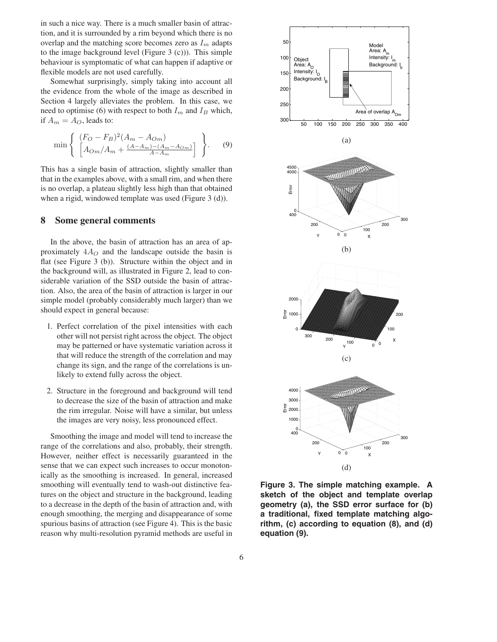in such a nice way. There is a much smaller basin of attraction, and it is surrounded by a rim beyond which there is no overlap and the matching score becomes zero as *I<sup>m</sup>* adapts to the image background level (Figure 3 (c))). This simple behaviour is symptomatic of what can happen if adaptive or flexible models are not used carefully.

Somewhat surprisingly, simply taking into account all the evidence from the whole of the image as described in Section 4 largely alleviates the problem. In this case, we need to optimise (6) with respect to both  $I_m$  and  $I_B$  which, if  $A_m = A_O$ , leads to:

$$
\min \left\{ \begin{array}{l} (F_O - F_B)^2 (A_m - A_{Om}) \\ \left[ A_{Om} / A_m + \frac{(A - A_m) - (A_m - A_{Om})}{A - A_m} \right] \end{array} \right\}.
$$
 (9)

This has a single basin of attraction, slightly smaller than that in the examples above, with a small rim, and when there is no overlap, a plateau slightly less high than that obtained when a rigid, windowed template was used (Figure 3 (d)).

#### **8 Some general comments**

In the above, the basin of attraction has an area of approximately  $4A_O$  and the landscape outside the basin is flat (see Figure 3 (b)). Structure within the object and in the background will, as illustrated in Figure 2, lead to considerable variation of the SSD outside the basin of attraction. Also, the area of the basin of attraction is larger in our simple model (probably considerably much larger) than we should expect in general because:

- 1. Perfect correlation of the pixel intensities with each other will not persist right across the object. The object may be patterned or have systematic variation across it that will reduce the strength of the correlation and may change its sign, and the range of the correlations is unlikely to extend fully across the object.
- 2. Structure in the foreground and background will tend to decrease the size of the basin of attraction and make the rim irregular. Noise will have a similar, but unless the images are very noisy, less pronounced effect.

Smoothing the image and model will tend to increase the range of the correlations and also, probably, their strength. However, neither effect is necessarily guaranteed in the sense that we can expect such increases to occur monotonically as the smoothing is increased. In general, increased smoothing will eventually tend to wash-out distinctive features on the object and structure in the background, leading to a decrease in the depth of the basin of attraction and, with enough smoothing, the merging and disappearance of some spurious basins of attraction (see Figure 4). This is the basic reason why multi-resolution pyramid methods are useful in



**Figure 3. The simple matching example. A sketch of the object and template overlap geometry (a), the SSD error surface for (b) a traditional, fixed template matching algorithm, (c) according to equation (8), and (d) equation (9).**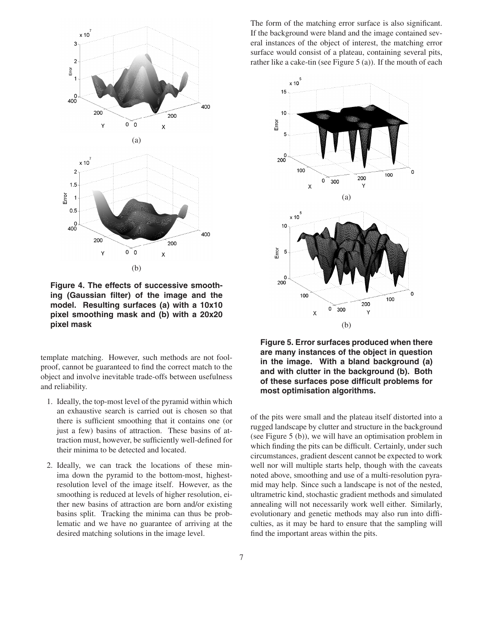

**Figure 4. The effects of successive smoothing (Gaussian filter) of the image and the model. Resulting surfaces (a) with a 10x10 pixel smoothing mask and (b) with a 20x20 pixel mask**

template matching. However, such methods are not foolproof, cannot be guaranteed to find the correct match to the object and involve inevitable trade-offs between usefulness and reliability.

- 1. Ideally, the top-most level of the pyramid within which an exhaustive search is carried out is chosen so that there is sufficient smoothing that it contains one (or just a few) basins of attraction. These basins of attraction must, however, be sufficiently well-defined for their minima to be detected and located.
- 2. Ideally, we can track the locations of these minima down the pyramid to the bottom-most, highestresolution level of the image itself. However, as the smoothing is reduced at levels of higher resolution, either new basins of attraction are born and/or existing basins split. Tracking the minima can thus be problematic and we have no guarantee of arriving at the desired matching solutions in the image level.

The form of the matching error surface is also significant. If the background were bland and the image contained several instances of the object of interest, the matching error surface would consist of a plateau, containing several pits, rather like a cake-tin (see Figure 5 (a)). If the mouth of each



**Figure 5. Error surfaces produced when there are many instances of the object in question in the image. With a bland background (a) and with clutter in the background (b). Both of these surfaces pose difficult problems for most optimisation algorithms.**

of the pits were small and the plateau itself distorted into a rugged landscape by clutter and structure in the background (see Figure 5 (b)), we will have an optimisation problem in which finding the pits can be difficult. Certainly, under such circumstances, gradient descent cannot be expected to work well nor will multiple starts help, though with the caveats noted above, smoothing and use of a multi-resolution pyramid may help. Since such a landscape is not of the nested, ultrametric kind, stochastic gradient methods and simulated annealing will not necessarily work well either. Similarly, evolutionary and genetic methods may also run into difficulties, as it may be hard to ensure that the sampling will find the important areas within the pits.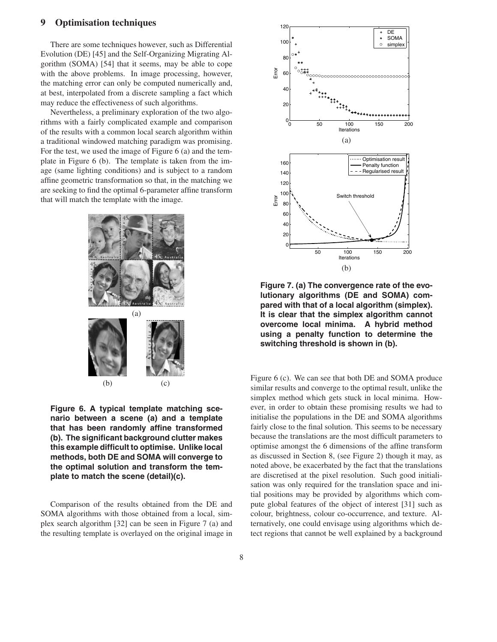#### **9 Optimisation techniques**

There are some techniques however, such as Differential Evolution (DE) [45] and the Self-Organizing Migrating Algorithm (SOMA) [54] that it seems, may be able to cope with the above problems. In image processing, however, the matching error can only be computed numerically and, at best, interpolated from a discrete sampling a fact which may reduce the effectiveness of such algorithms.

Nevertheless, a preliminary exploration of the two algorithms with a fairly complicated example and comparison of the results with a common local search algorithm within a traditional windowed matching paradigm was promising. For the test, we used the image of Figure 6 (a) and the template in Figure 6 (b). The template is taken from the image (same lighting conditions) and is subject to a random affine geometric transformation so that, in the matching we are seeking to find the optimal 6-parameter affine transform that will match the template with the image.



**Figure 6. A typical template matching scenario between a scene (a) and a template that has been randomly affine transformed (b). The significant background clutter makes this example difficult to optimise. Unlike local methods, both DE and SOMA will converge to the optimal solution and transform the template to match the scene (detail)(c).**

Comparison of the results obtained from the DE and SOMA algorithms with those obtained from a local, simplex search algorithm [32] can be seen in Figure 7 (a) and the resulting template is overlayed on the original image in



**Figure 7. (a) The convergence rate of the evolutionary algorithms (DE and SOMA) compared with that of a local algorithm (simplex). It is clear that the simplex algorithm cannot overcome local minima. A hybrid method using a penalty function to determine the switching threshold is shown in (b).**

Figure 6 (c). We can see that both DE and SOMA produce similar results and converge to the optimal result, unlike the simplex method which gets stuck in local minima. However, in order to obtain these promising results we had to initialise the populations in the DE and SOMA algorithms fairly close to the final solution. This seems to be necessary because the translations are the most difficult parameters to optimise amongst the 6 dimensions of the affine transform as discussed in Section 8, (see Figure 2) though it may, as noted above, be exacerbated by the fact that the translations are discretised at the pixel resolution. Such good initialisation was only required for the translation space and initial positions may be provided by algorithms which compute global features of the object of interest [31] such as colour, brightness, colour co-occurrence, and texture. Alternatively, one could envisage using algorithms which detect regions that cannot be well explained by a background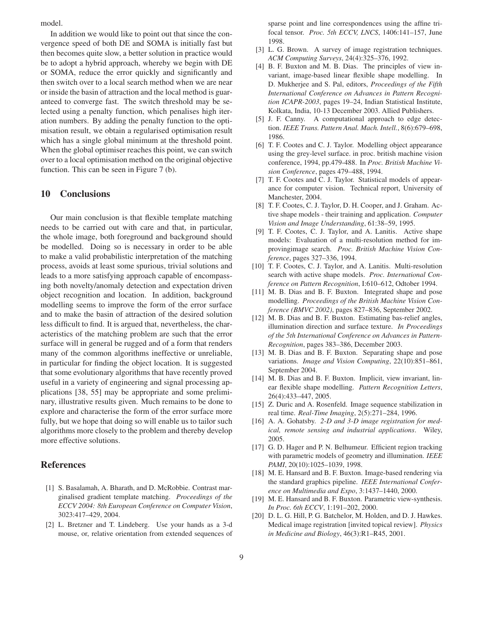model.

In addition we would like to point out that since the convergence speed of both DE and SOMA is initially fast but then becomes quite slow, a better solution in practice would be to adopt a hybrid approach, whereby we begin with DE or SOMA, reduce the error quickly and significantly and then switch over to a local search method when we are near or inside the basin of attraction and the local method is guaranteed to converge fast. The switch threshold may be selected using a penalty function, which penalises high iteration numbers. By adding the penalty function to the optimisation result, we obtain a regularised optimisation result which has a single global minimum at the threshold point. When the global optimiser reaches this point, we can switch over to a local optimisation method on the original objective function. This can be seen in Figure 7 (b).

### **10 Conclusions**

Our main conclusion is that flexible template matching needs to be carried out with care and that, in particular, the whole image, both foreground and background should be modelled. Doing so is necessary in order to be able to make a valid probabilistic interpretation of the matching process, avoids at least some spurious, trivial solutions and leads to a more satisfying approach capable of encompassing both novelty/anomaly detection and expectation driven object recognition and location. In addition, background modelling seems to improve the form of the error surface and to make the basin of attraction of the desired solution less difficult to find. It is argued that, nevertheless, the characteristics of the matching problem are such that the error surface will in general be rugged and of a form that renders many of the common algorithms ineffective or unreliable, in particular for finding the object location. It is suggested that some evolutionary algorithms that have recently proved useful in a variety of engineering and signal processing applications [38, 55] may be appropriate and some preliminary, illustrative results given. Much remains to be done to explore and characterise the form of the error surface more fully, but we hope that doing so will enable us to tailor such algorithms more closely to the problem and thereby develop more effective solutions.

### **References**

- [1] S. Basalamah, A. Bharath, and D. McRobbie. Contrast marginalised gradient template matching. *Proceedings of the ECCV 2004: 8th European Conference on Computer Vision*, 3023:417–429, 2004.
- [2] L. Bretzner and T. Lindeberg. Use your hands as a 3-d mouse, or, relative orientation from extended sequences of

sparse point and line correspondences using the affine trifocal tensor. *Proc. 5th ECCV, LNCS*, 1406:141–157, June 1998.

- [3] L. G. Brown. A survey of image registration techniques. *ACM Computing Surveys*, 24(4):325–376, 1992.
- [4] B. F. Buxton and M. B. Dias. The principles of view invariant, image-based linear flexible shape modelling. In D. Mukherjee and S. Pal, editors, *Proceedings of the Fifth International Conference on Advances in Pattern Recognition ICAPR-2003*, pages 19–24, Indian Statistical Institute, Kolkata, India, 10-13 December 2003. Allied Publishers.
- [5] J. F. Canny. A computational approach to edge detection. *IEEE Trans. Pattern Anal. Mach. Intell.*, 8(6):679–698, 1986.
- [6] T. F. Cootes and C. J. Taylor. Modelling object appearance using the grey-level surface. in proc. british machine vision conference, 1994, pp.479-488. In *Proc. British Machine Vision Conference*, pages 479–488, 1994.
- [7] T. F. Cootes and C. J. Taylor. Statistical models of appearance for computer vision. Technical report, University of Manchester, 2004.
- [8] T. F. Cootes, C. J. Taylor, D. H. Cooper, and J. Graham. Active shape models - their training and application. *Computer Vision and Image Understanding*, 61:38–59, 1995.
- [9] T. F. Cootes, C. J. Taylor, and A. Lanitis. Active shape models: Evaluation of a multi-resolution method for improvingimage search. *Proc. British Machine Vision Conference*, pages 327–336, 1994.
- [10] T. F. Cootes, C. J. Taylor, and A. Lanitis. Multi-resolution search with active shape models. *Proc. International Conference on Pattern Recognition*, I:610–612, Odtober 1994.
- [11] M. B. Dias and B. F. Buxton. Integrated shape and pose modelling. *Proceedings of the British Machine Vision Conference (BMVC 2002)*, pages 827–836, September 2002.
- [12] M. B. Dias and B. F. Buxton. Estimating bas-relief angles, illumination direction and surface texture. *In Proceedings of the 5th International Conference on Advances in Pattern-Recognition*, pages 383–386, December 2003.
- [13] M. B. Dias and B. F. Buxton. Separating shape and pose variations. *Image and Vision Computing*, 22(10):851–861, September 2004.
- [14] M. B. Dias and B. F. Buxton. Implicit, view invariant, linear flexible shape modelling. *Pattern Recognition Letters*, 26(4):433–447, 2005.
- [15] Z. Duric and A. Rosenfeld. Image sequence stabilization in real time. *Real-Time Imaging*, 2(5):271–284, 1996.
- [16] A. A. Gohatsby. 2-D and 3-D image registration for med*ical, remote sensing and industrial applications*. Wiley, 2005.
- [17] G. D. Hager and P. N. Belhumeur. Efficient region tracking with parametric models of geometry and illumination. *IEEE PAMI*, 20(10):1025–1039, 1998.
- [18] M. E. Hansard and B. F. Buxton. Image-based rendering via the standard graphics pipeline. *IEEE International Conference on Multimedia and Expo*, 3:1437–1440, 2000.
- [19] M. E. Hansard and B. F. Buxton. Parametric view-synthesis. *In Proc. 6th ECCV*, 1:191–202, 2000.
- [20] D. L. G. Hill, P. G. Batchelor, M. Holden, and D. J. Hawkes. Medical image registration [invited topical review]. *Physics in Medicine and Biology*, 46(3):R1–R45, 2001.